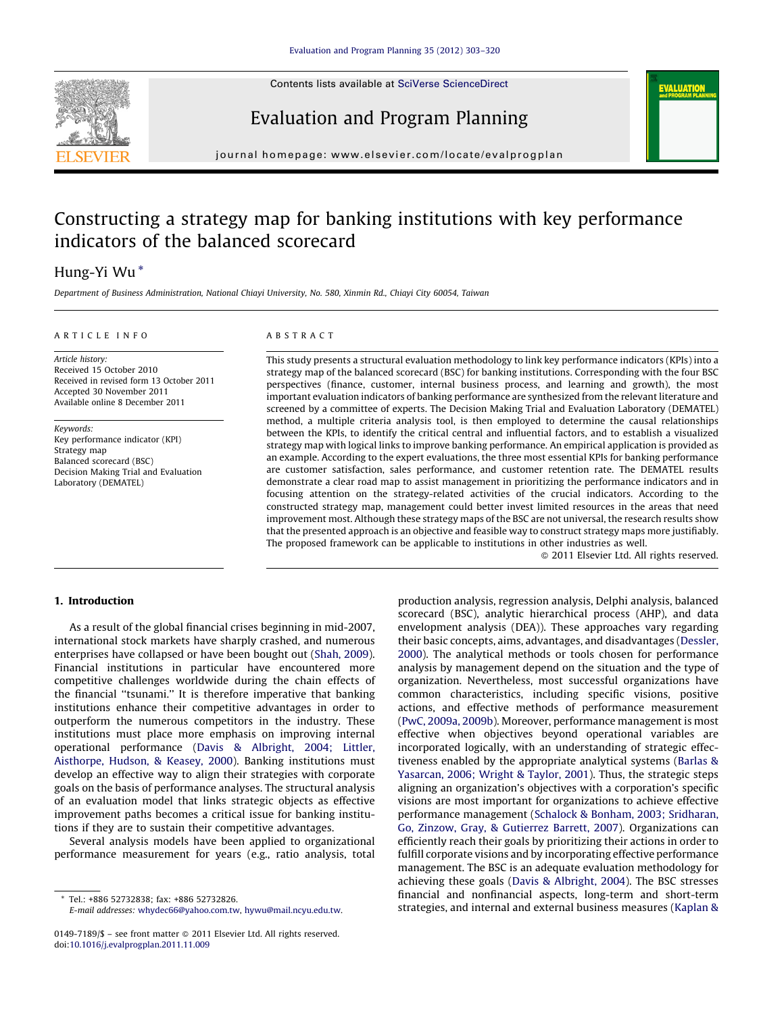

Contents lists available at [SciVerse ScienceDirect](http://www.sciencedirect.com/science/journal/01497189)

# Evaluation and Program Planning



journal homepage: www.elsevier.com/locate/evalprogplan

# Constructing a strategy map for banking institutions with key performance indicators of the balanced scorecard

# Hung-Yi Wu \*

Department of Business Administration, National Chiayi University, No. 580, Xinmin Rd., Chiayi City 60054, Taiwan

### ARTICLE INFO

Article history: Received 15 October 2010 Received in revised form 13 October 2011 Accepted 30 November 2011 Available online 8 December 2011

Keywords: Key performance indicator (KPI) Strategy map Balanced scorecard (BSC) Decision Making Trial and Evaluation Laboratory (DEMATEL)

## ABSTRACT

This study presents a structural evaluation methodology to link key performance indicators (KPIs) into a strategy map of the balanced scorecard (BSC) for banking institutions. Corresponding with the four BSC perspectives (finance, customer, internal business process, and learning and growth), the most important evaluation indicators of banking performance are synthesized from the relevant literature and screened by a committee of experts. The Decision Making Trial and Evaluation Laboratory (DEMATEL) method, a multiple criteria analysis tool, is then employed to determine the causal relationships between the KPIs, to identify the critical central and influential factors, and to establish a visualized strategy map with logical links to improve banking performance. An empirical application is provided as an example. According to the expert evaluations, the three most essential KPIs for banking performance are customer satisfaction, sales performance, and customer retention rate. The DEMATEL results demonstrate a clear road map to assist management in prioritizing the performance indicators and in focusing attention on the strategy-related activities of the crucial indicators. According to the constructed strategy map, management could better invest limited resources in the areas that need improvement most. Although these strategy maps of the BSC are not universal, the research results show that the presented approach is an objective and feasible way to construct strategy maps more justifiably. The proposed framework can be applicable to institutions in other industries as well.

- 2011 Elsevier Ltd. All rights reserved.

## 1. Introduction

As a result of the global financial crises beginning in mid-2007, international stock markets have sharply crashed, and numerous enterprises have collapsed or have been bought out [\(Shah, 2009\)](#page--1-0). Financial institutions in particular have encountered more competitive challenges worldwide during the chain effects of the financial ''tsunami.'' It is therefore imperative that banking institutions enhance their competitive advantages in order to outperform the numerous competitors in the industry. These institutions must place more emphasis on improving internal operational performance [\(Davis & Albright, 2004; Littler,](#page--1-0) [Aisthorpe, Hudson, & Keasey, 2000](#page--1-0)). Banking institutions must develop an effective way to align their strategies with corporate goals on the basis of performance analyses. The structural analysis of an evaluation model that links strategic objects as effective improvement paths becomes a critical issue for banking institutions if they are to sustain their competitive advantages.

Several analysis models have been applied to organizational performance measurement for years (e.g., ratio analysis, total

E-mail addresses: [whydec66@yahoo.com.tw,](mailto:whydec66@yahoo.com.tw) [hywu@mail.ncyu.edu.tw.](mailto:hywu@mail.ncyu.edu.tw)

production analysis, regression analysis, Delphi analysis, balanced scorecard (BSC), analytic hierarchical process (AHP), and data envelopment analysis (DEA)). These approaches vary regarding their basic concepts, aims, advantages, and disadvantages ([Dessler,](#page--1-0) [2000\)](#page--1-0). The analytical methods or tools chosen for performance analysis by management depend on the situation and the type of organization. Nevertheless, most successful organizations have common characteristics, including specific visions, positive actions, and effective methods of performance measurement ([PwC, 2009a, 2009b](#page--1-0)). Moreover, performance management is most effective when objectives beyond operational variables are incorporated logically, with an understanding of strategic effectiveness enabled by the appropriate analytical systems ([Barlas &](#page--1-0) [Yasarcan, 2006; Wright & Taylor, 2001](#page--1-0)). Thus, the strategic steps aligning an organization's objectives with a corporation's specific visions are most important for organizations to achieve effective performance management ([Schalock & Bonham, 2003; Sridharan,](#page--1-0) [Go, Zinzow, Gray, & Gutierrez Barrett, 2007](#page--1-0)). Organizations can efficiently reach their goals by prioritizing their actions in order to fulfill corporate visions and by incorporating effective performance management. The BSC is an adequate evaluation methodology for achieving these goals ([Davis & Albright, 2004\)](#page--1-0). The BSC stresses financial and nonfinancial aspects, long-term and short-term strategies, and internal and external business measures [\(Kaplan &](#page--1-0)

Tel.: +886 52732838; fax: +886 52732826.

<sup>0149-7189/\$ –</sup> see front matter © 2011 Elsevier Ltd. All rights reserved. doi:[10.1016/j.evalprogplan.2011.11.009](http://dx.doi.org/10.1016/j.evalprogplan.2011.11.009)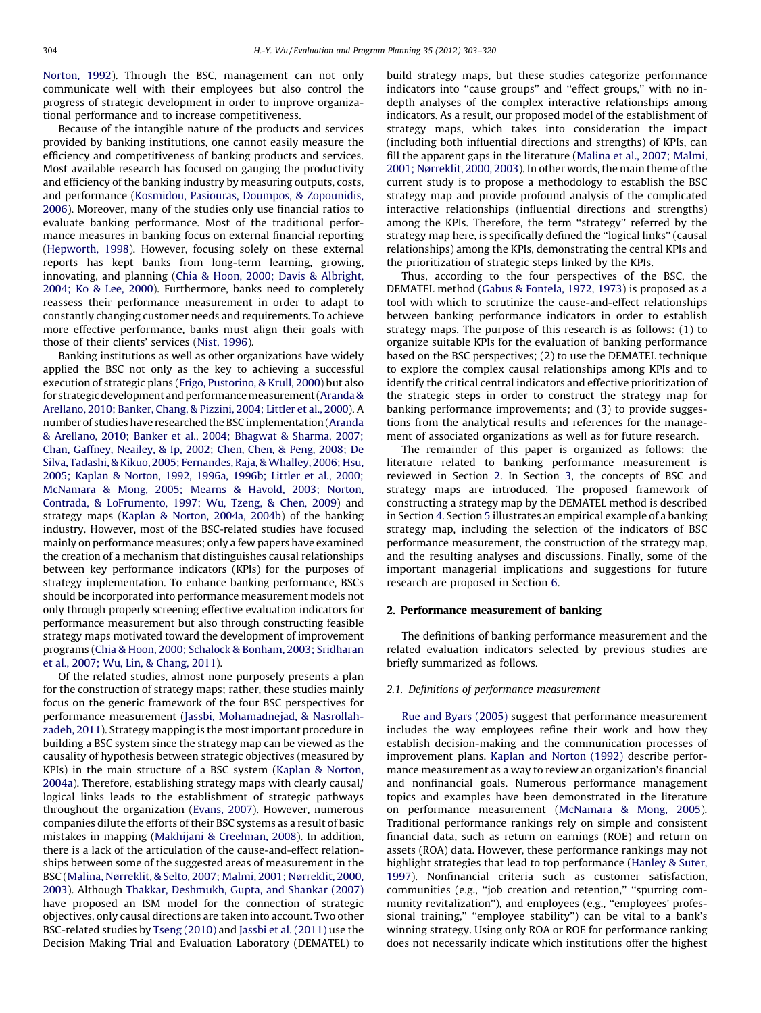[Norton, 1992](#page--1-0)). Through the BSC, management can not only communicate well with their employees but also control the progress of strategic development in order to improve organizational performance and to increase competitiveness.

Because of the intangible nature of the products and services provided by banking institutions, one cannot easily measure the efficiency and competitiveness of banking products and services. Most available research has focused on gauging the productivity and efficiency of the banking industry by measuring outputs, costs, and performance ([Kosmidou, Pasiouras, Doumpos, & Zopounidis,](#page--1-0) [2006\)](#page--1-0). Moreover, many of the studies only use financial ratios to evaluate banking performance. Most of the traditional performance measures in banking focus on external financial reporting ([Hepworth, 1998](#page--1-0)). However, focusing solely on these external reports has kept banks from long-term learning, growing, innovating, and planning ([Chia & Hoon, 2000; Davis & Albright,](#page--1-0) [2004; Ko & Lee, 2000\)](#page--1-0). Furthermore, banks need to completely reassess their performance measurement in order to adapt to constantly changing customer needs and requirements. To achieve more effective performance, banks must align their goals with those of their clients' services [\(Nist, 1996\)](#page--1-0).

Banking institutions as well as other organizations have widely applied the BSC not only as the key to achieving a successful execution of strategic plans [\(Frigo, Pustorino, & Krull, 2000\)](#page--1-0) but also for strategic development and performance measurement (Aranda & [Arellano, 2010; Banker, Chang, & Pizzini, 2004; Littler et al., 2000\)](#page--1-0). A number of studies have researched the BSC implementation ([Aranda](#page--1-0) [& Arellano, 2010; Banker et al., 2004; Bhagwat & Sharma, 2007;](#page--1-0) [Chan, Gaffney, Neailey, & Ip, 2002; Chen, Chen, & Peng, 2008; De](#page--1-0) Silva, Tadashi, & Kikuo, 2005; Fernandes, Raja, & Whalley, 2006; Hsu, [2005; Kaplan & Norton, 1992, 1996a, 1996b; Littler et al., 2000;](#page--1-0) [McNamara & Mong, 2005; Mearns & Havold, 2003; Norton,](#page--1-0) [Contrada, & LoFrumento, 1997; Wu, Tzeng, & Chen, 2009](#page--1-0)) and strategy maps [\(Kaplan & Norton, 2004a, 2004b](#page--1-0)) of the banking industry. However, most of the BSC-related studies have focused mainly on performance measures; only a few papers have examined the creation of a mechanism that distinguishes causal relationships between key performance indicators (KPIs) for the purposes of strategy implementation. To enhance banking performance, BSCs should be incorporated into performance measurement models not only through properly screening effective evaluation indicators for performance measurement but also through constructing feasible strategy maps motivated toward the development of improvement programs [\(Chia & Hoon, 2000; Schalock & Bonham, 2003; Sridharan](#page--1-0) [et al., 2007; Wu, Lin, & Chang, 2011](#page--1-0)).

Of the related studies, almost none purposely presents a plan for the construction of strategy maps; rather, these studies mainly focus on the generic framework of the four BSC perspectives for performance measurement ([Jassbi, Mohamadnejad, & Nasrollah](#page--1-0)[zadeh, 2011](#page--1-0)). Strategy mapping is the most important procedure in building a BSC system since the strategy map can be viewed as the causality of hypothesis between strategic objectives (measured by KPIs) in the main structure of a BSC system ([Kaplan & Norton,](#page--1-0) [2004a](#page--1-0)). Therefore, establishing strategy maps with clearly causal/ logical links leads to the establishment of strategic pathways throughout the organization [\(Evans, 2007\)](#page--1-0). However, numerous companies dilute the efforts of their BSC systems as a result of basic mistakes in mapping [\(Makhijani & Creelman, 2008](#page--1-0)). In addition, there is a lack of the articulation of the cause-and-effect relationships between some of the suggested areas of measurement in the BSC ([Malina, Nørreklit, & Selto, 2007; Malmi, 2001; Nørreklit, 2000,](#page--1-0) [2003\)](#page--1-0). Although [Thakkar, Deshmukh, Gupta, and Shankar \(2007\)](#page--1-0) have proposed an ISM model for the connection of strategic objectives, only causal directions are taken into account. Two other BSC-related studies by [Tseng \(2010\)](#page--1-0) and [Jassbi et al. \(2011\)](#page--1-0) use the Decision Making Trial and Evaluation Laboratory (DEMATEL) to build strategy maps, but these studies categorize performance indicators into "cause groups" and "effect groups," with no indepth analyses of the complex interactive relationships among indicators. As a result, our proposed model of the establishment of strategy maps, which takes into consideration the impact (including both influential directions and strengths) of KPIs, can fill the apparent gaps in the literature ([Malina et al., 2007; Malmi,](#page--1-0) [2001; Nørreklit, 2000, 2003](#page--1-0)). In other words, the main theme of the current study is to propose a methodology to establish the BSC strategy map and provide profound analysis of the complicated interactive relationships (influential directions and strengths) among the KPIs. Therefore, the term ''strategy'' referred by the strategy map here, is specifically defined the ''logical links'' (causal relationships) among the KPIs, demonstrating the central KPIs and the prioritization of strategic steps linked by the KPIs.

Thus, according to the four perspectives of the BSC, the DEMATEL method ([Gabus & Fontela, 1972, 1973](#page--1-0)) is proposed as a tool with which to scrutinize the cause-and-effect relationships between banking performance indicators in order to establish strategy maps. The purpose of this research is as follows: (1) to organize suitable KPIs for the evaluation of banking performance based on the BSC perspectives; (2) to use the DEMATEL technique to explore the complex causal relationships among KPIs and to identify the critical central indicators and effective prioritization of the strategic steps in order to construct the strategy map for banking performance improvements; and (3) to provide suggestions from the analytical results and references for the management of associated organizations as well as for future research.

The remainder of this paper is organized as follows: the literature related to banking performance measurement is reviewed in Section 2. In Section [3](#page--1-0), the concepts of BSC and strategy maps are introduced. The proposed framework of constructing a strategy map by the DEMATEL method is described in Section [4](#page--1-0). Section [5](#page--1-0) illustrates an empirical example of a banking strategy map, including the selection of the indicators of BSC performance measurement, the construction of the strategy map, and the resulting analyses and discussions. Finally, some of the important managerial implications and suggestions for future research are proposed in Section [6](#page--1-0).

#### 2. Performance measurement of banking

The definitions of banking performance measurement and the related evaluation indicators selected by previous studies are briefly summarized as follows.

#### 2.1. Definitions of performance measurement

[Rue and Byars \(2005\)](#page--1-0) suggest that performance measurement includes the way employees refine their work and how they establish decision-making and the communication processes of improvement plans. [Kaplan and Norton \(1992\)](#page--1-0) describe performance measurement as a way to review an organization's financial and nonfinancial goals. Numerous performance management topics and examples have been demonstrated in the literature on performance measurement ([McNamara & Mong, 2005\)](#page--1-0). Traditional performance rankings rely on simple and consistent financial data, such as return on earnings (ROE) and return on assets (ROA) data. However, these performance rankings may not highlight strategies that lead to top performance [\(Hanley & Suter,](#page--1-0) [1997](#page--1-0)). Nonfinancial criteria such as customer satisfaction, communities (e.g., ''job creation and retention,'' ''spurring community revitalization''), and employees (e.g., ''employees' professional training," "employee stability") can be vital to a bank's winning strategy. Using only ROA or ROE for performance ranking does not necessarily indicate which institutions offer the highest